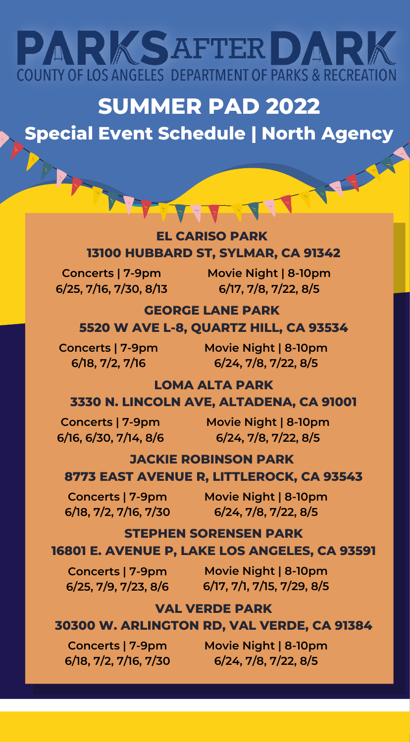# PARKSAFTERDAR **COUNTY OF LOS ANGELES DEPARTMENT OF PARKS & RECREATION**

## **SUMMER PAD 2022**

## **Special Event Schedule | North Agency**

#### **EL CARISO PARK 13100 HUBBARD ST, SYLMAR, CA 91342**

**Concerts | 7-9pm 6/25, 7/16, 7/30, 8/13**

**Movie Night | 8-10pm 6/17, 7/8, 7/22, 8/5**

#### **GEORGE LANE PARK 5520 W AVE L-8, QUARTZ HILL, CA 93534**

**6/18, 7/2, 7/16**

**Concerts | 7-9pm Movie Night | 8-10pm 6/24, 7/8, 7/22, 8/5**

#### **LOMA ALTA PARK 3330 N. LINCOLN AVE, ALTADENA, CA 91001**

**Concerts | 7-9pm 6/16, 6/30, 7/14, 8/6**

**Movie Night | 8-10pm 6/24, 7/8, 7/22, 8/5**

### **JACKIE ROBINSON PARK**

#### **8773 EAST AVENUE R, LITTLEROCK, CA 93543**

**Concerts | 7-9pm 6/18, 7/2, 7/16, 7/30**

**Movie Night | 8-10pm 6/24, 7/8, 7/22, 8/5**

#### **STEPHEN SORENSEN PARK 16801 E. AVENUE P, LAKE LOS ANGELES, CA 93591**

**Concerts | 7-9pm Movie Night | 8-10pm 6/25, 7/9, 7/23, 8/6 6/17, 7/1, 7/15, 7/29, 8/5**

#### **VAL VERDE PARK**

#### **30300 W. ARLINGTON RD, VAL VERDE, CA 91384**

**Concerts | 7-9pm 6/18, 7/2, 7/16, 7/30** **Movie Night | 8-10pm 6/24, 7/8, 7/22, 8/5**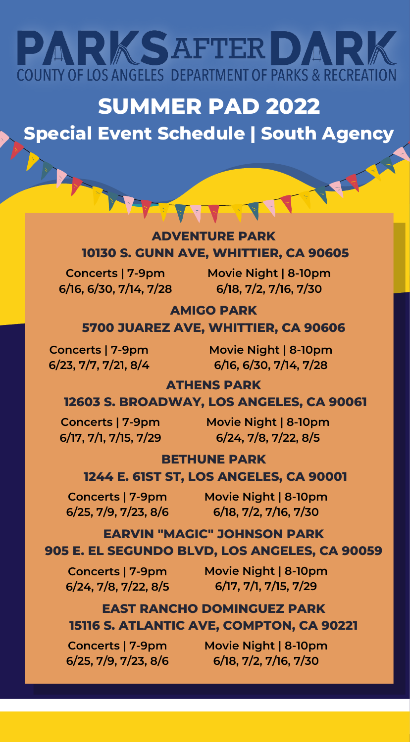# PARKSAFTERDAR **COUNTY OF LOS ANGELES DEPARTMENT OF PARKS & RECREATION**

## **SUMMER PAD 2022**

## **Special Event Schedule | South Agency**

#### **ADVENTURE PARK 10130 S. GUNN AVE, WHITTIER, CA 90605**

**Concerts | 7-9pm 6/16, 6/30, 7/14, 7/28**

**Movie Night | 8-10pm 6/18, 7/2, 7/16, 7/30**

#### **AMIGO PARK**

#### **5700 JUAREZ AVE, WHITTIER, CA 90606**

**Concerts | 7-9pm 6/23, 7/7, 7/21, 8/4**

**Movie Night | 8-10pm 6/16, 6/30, 7/14, 7/28**

**ATHENS PARK**

#### **12603 S. BROADWAY, LOS ANGELES, CA 90061**

**Concerts | 7-9pm 6/17, 7/1, 7/15, 7/29**

**Movie Night | 8-10pm 6/24, 7/8, 7/22, 8/5**

#### **BETHUNE PARK**

#### **1244 E. 61ST ST, LOS ANGELES, CA 90001**

**Concerts | 7-9pm 6/25, 7/9, 7/23, 8/6**

**Movie Night | 8-10pm 6/18, 7/2, 7/16, 7/30**

#### **EARVIN "MAGIC" JOHNSON PARK 905 E. EL SEGUNDO BLVD, LOS ANGELES, CA 90059**

**6/24, 7/8, 7/22, 8/5**

**Concerts | 7-9pm Movie Night | 8-10pm 6/17, 7/1, 7/15, 7/29**

#### **EAST RANCHO DOMINGUEZ PARK 15116 S. ATLANTIC AVE, COMPTON, CA 90221**

**Concerts | 7-9pm 6/25, 7/9, 7/23, 8/6** **Movie Night | 8-10pm 6/18, 7/2, 7/16, 7/30**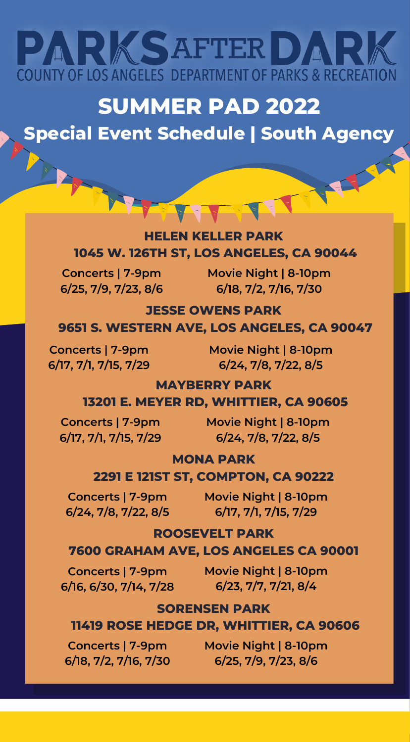# PARKSAFTERDAR **COUNTY OF LOS ANGELES DEPARTMENT OF PARKS & RECREATION**

## **SUMMER PAD 2022**

## **Special Event Schedule | South Agency**

#### **HELEN KELLER PARK 1045 W. 126TH ST, LOS ANGELES, CA 90044**

**Concerts | 7-9pm 6/25, 7/9, 7/23, 8/6**

**Movie Night | 8-10pm 6/18, 7/2, 7/16, 7/30**

#### **JESSE OWENS PARK 9651 S. WESTERN AVE, LOS ANGELES, CA 90047**

**Concerts | 7-9pm 6/17, 7/1, 7/15, 7/29**

**Movie Night | 8-10pm 6/24, 7/8, 7/22, 8/5**

#### **MAYBERRY PARK**

#### **13201 E. MEYER RD, WHITTIER, CA 90605**

**6/17, 7/1, 7/15, 7/29**

**Concerts | 7-9pm Movie Night | 8-10pm 6/24, 7/8, 7/22, 8/5**

#### **MONA PARK**

#### **2291 E 121ST ST, COMPTON, CA 90222**

**6/24, 7/8, 7/22, 8/5**

**Concerts | 7-9pm Movie Night | 8-10pm 6/17, 7/1, 7/15, 7/29**

#### **ROOSEVELT PARK**

#### **7600 GRAHAM AVE, LOS ANGELES CA 90001**

**6/16, 6/30, 7/14, 7/28**

**Concerts | 7-9pm Movie Night | 8-10pm 6/23, 7/7, 7/21, 8/4**

#### **SORENSEN PARK**

#### **11419 ROSE HEDGE DR, WHITTIER, CA 90606**

**Concerts | 7-9pm 6/18, 7/2, 7/16, 7/30** **Movie Night | 8-10pm 6/25, 7/9, 7/23, 8/6**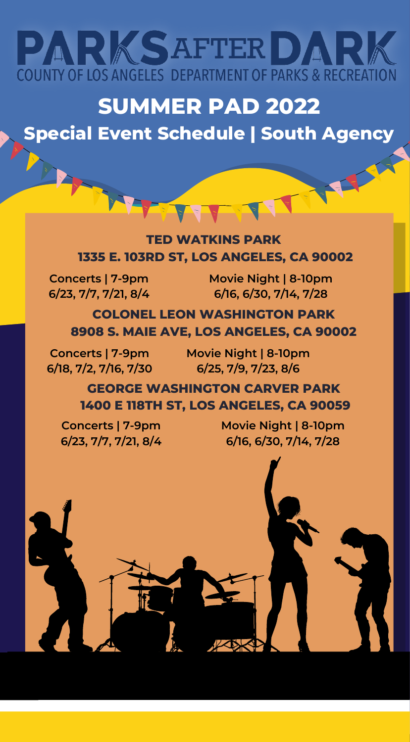

## **SUMMER PAD 2022**

### **Special Event Schedule | South Agency**

#### **TED WATKINS PARK 1335 E. 103RD ST, LOS ANGELES, CA 90002**

**Concerts | 7-9pm 6/23, 7/7, 7/21, 8/4**

**Movie Night | 8-10pm 6/16, 6/30, 7/14, 7/28**

**COLONEL LEON WASHINGTON PARK 8908 S. MAIE AVE, LOS ANGELES, CA 90002**

**6/18, 7/2, 7/16, 7/30**

**Concerts | 7-9pm Movie Night | 8-10pm 6/25, 7/9, 7/23, 8/6**

> **GEORGE WASHINGTON CARVER PARK 1400 E 118TH ST, LOS ANGELES, CA 90059**

A Brown Barnet

**Concerts | 7-9pm 6/23, 7/7, 7/21, 8/4**

**Movie Night | 8-10pm 6/16, 6/30, 7/14, 7/28**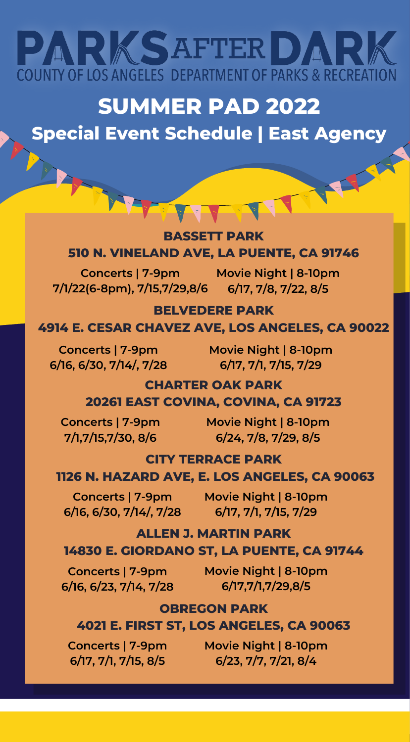# PARKSAFTERDARK **COUNTY OF LOS ANGELES DEPARTMENT OF PARKS & RECREATION**

## **SUMMER PAD 2022**

## **Special Event Schedule | East Agency**

#### **BASSETT PARK 510 N. VINELAND AVE, LA PUENTE, CA 91746**

**Concerts | 7-9pm Movie Night | 8-10pm 7/1/22(6-8pm), 7/15,7/29,8/6 6/17, 7/8, 7/22, 8/5**

#### **BELVEDERE PARK 4914 E. CESAR CHAVEZ AVE, LOS ANGELES, CA 90022**

**6/16, 6/30, 7/14/, 7/28**

**Concerts | 7-9pm Movie Night | 8-10pm 6/17, 7/1, 7/15, 7/29**

### **CHARTER OAK PARK**

**20261 EAST COVINA, COVINA, CA 91723**

**Concerts | 7-9pm 7/1,7/15,7/30, 8/6**

**Movie Night | 8-10pm 6/24, 7/8, 7/29, 8/5**

#### **CITY TERRACE PARK**

#### **1126 N. HAZARD AVE, E. LOS ANGELES, CA 90063**

**6/16, 6/30, 7/14/, 7/28 6/17, 7/1, 7/15, 7/29**

**Concerts | 7-9pm Movie Night | 8-10pm**

#### **ALLEN J. MARTIN PARK 14830 E. GIORDANO ST, LA PUENTE, CA 91744**

**6/16, 6/23, 7/14, 7/28**

**Concerts | 7-9pm Movie Night | 8-10pm 6/17,7/1,7/29,8/5**

#### **OBREGON PARK**

#### **4021 E. FIRST ST, LOS ANGELES, CA 90063**

**Concerts | 7-9pm 6/17, 7/1, 7/15, 8/5**

**Movie Night | 8-10pm 6/23, 7/7, 7/21, 8/4**